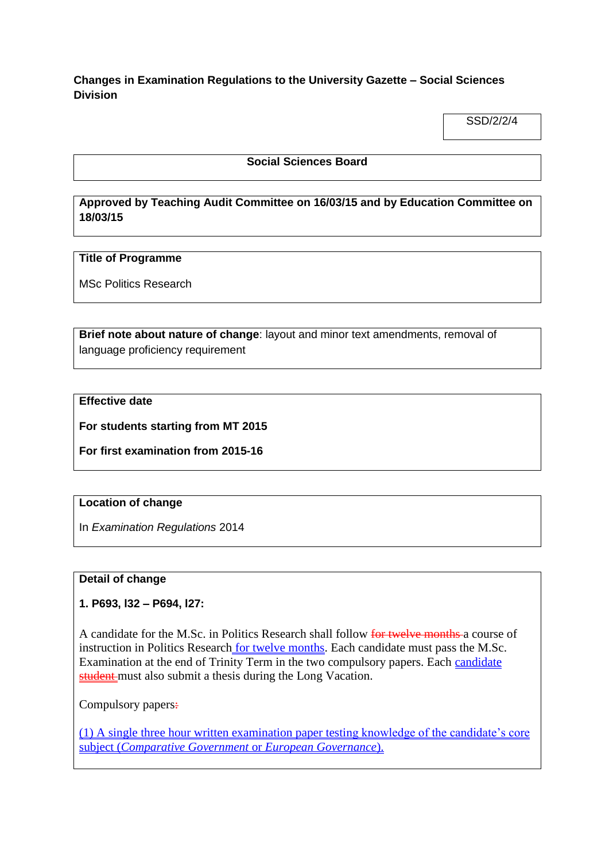**Changes in Examination Regulations to the University Gazette – Social Sciences Division**

SSD/2/2/4

#### **Social Sciences Board**

# **Approved by Teaching Audit Committee on 16/03/15 and by Education Committee on 18/03/15**

### **Title of Programme**

MSc Politics Research

**Brief note about nature of change**: layout and minor text amendments, removal of language proficiency requirement

## **Effective date**

**For students starting from MT 2015**

**For first examination from 2015-16**

### **Location of change**

In *Examination Regulations* 2014

### **Detail of change**

**1. P693, l32 – P694, l27:**

A candidate for the M.Sc. in Politics Research shall follow for twelve months a course of instruction in Politics Research for twelve months. Each candidate must pass the M.Sc. Examination at the end of Trinity Term in the two compulsory papers. Each candidate student must also submit a thesis during the Long Vacation.

Compulsory papers:

(1) A single three hour written examination paper testing knowledge of the candidate's core subject (*Comparative Government* or *European Governance*).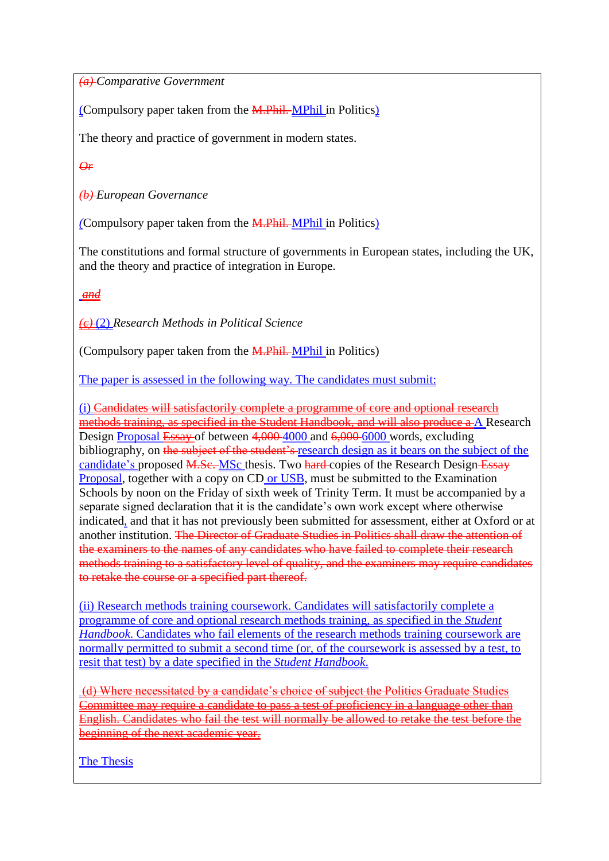*(a) Comparative Government*

(Compulsory paper taken from the M.Phil. MPhil in Politics)

The theory and practice of government in modern states.

*Or*

*(b) European Governance* 

*(*Compulsory paper taken from the M.Phil. MPhil in Politics)

The constitutions and formal structure of governments in European states, including the UK, and the theory and practice of integration in Europe.

*and*

*(c)* (2) *Research Methods in Political Science*

(Compulsory paper taken from the M.Phil. MPhil in Politics)

The paper is assessed in the <u>following way</u>. The candidates must submit:

(i) Candidates will satisfactorily complete a programme of core and optional research methods training, as specified in the Student Handbook, and will also produce a A Research Design Proposal Essay of between 4,000 4000 and 6,000 6000 words, excluding bibliography, on the subject of the student's research design as it bears on the subject of the candidate's proposed M.Sc. MSc thesis. Two hard copies of the Research Design Essay Proposal, together with a copy on CD or USB, must be submitted to the Examination Schools by noon on the Friday of sixth week of Trinity Term. It must be accompanied by a separate signed declaration that it is the candidate's own work except where otherwise indicated, and that it has not previously been submitted for assessment, either at Oxford or at another institution. The Director of Graduate Studies in Politics shall draw the attention of the examiners to the names of any candidates who have failed to complete their research methods training to a satisfactory level of quality, and the examiners may require candidates to retake the course or a specified part thereof.

(ii) Research methods training coursework. Candidates will satisfactorily complete a programme of core and optional research methods training, as specified in the *Student Handbook*. Candidates who fail elements of the research methods training coursework are normally permitted to submit a second time (or, of the coursework is assessed by a test, to resit that test) by a date specified in the *Student Handbook*.

(d) Where necessitated by a candidate's choice of subject the Politics Graduate Studies Committee may require a candidate to pass a test of proficiency in a language other than English. Candidates who fail the test will normally be allowed to retake the test before the beginning of the next academic year.

The Thesis